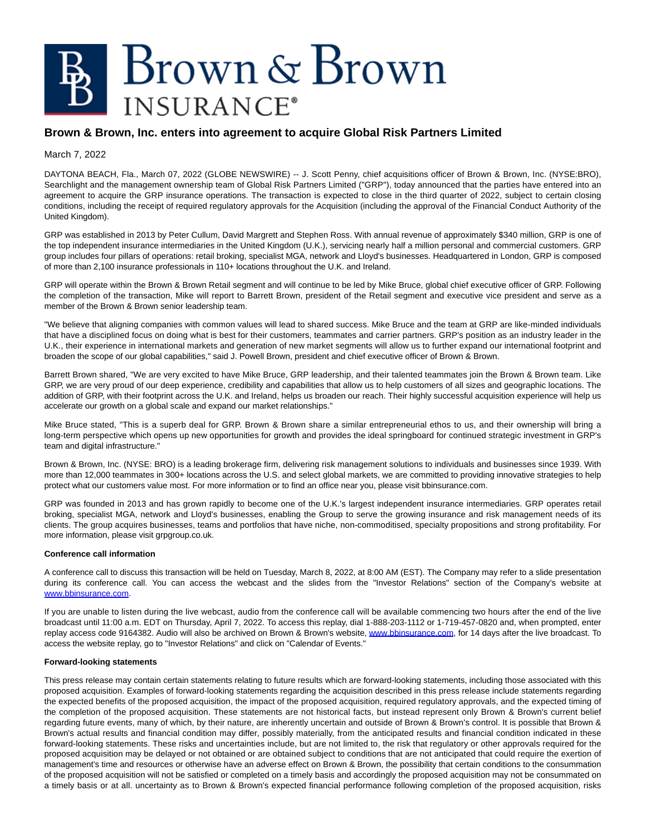## Brown & Brown **INSURANCE**<sup>®</sup>

## **Brown & Brown, Inc. enters into agreement to acquire Global Risk Partners Limited**

March 7, 2022

DAYTONA BEACH, Fla., March 07, 2022 (GLOBE NEWSWIRE) -- J. Scott Penny, chief acquisitions officer of Brown & Brown, Inc. (NYSE:BRO), Searchlight and the management ownership team of Global Risk Partners Limited ("GRP"), today announced that the parties have entered into an agreement to acquire the GRP insurance operations. The transaction is expected to close in the third quarter of 2022, subject to certain closing conditions, including the receipt of required regulatory approvals for the Acquisition (including the approval of the Financial Conduct Authority of the United Kingdom).

GRP was established in 2013 by Peter Cullum, David Margrett and Stephen Ross. With annual revenue of approximately \$340 million, GRP is one of the top independent insurance intermediaries in the United Kingdom (U.K.), servicing nearly half a million personal and commercial customers. GRP group includes four pillars of operations: retail broking, specialist MGA, network and Lloyd's businesses. Headquartered in London, GRP is composed of more than 2,100 insurance professionals in 110+ locations throughout the U.K. and Ireland.

GRP will operate within the Brown & Brown Retail segment and will continue to be led by Mike Bruce, global chief executive officer of GRP. Following the completion of the transaction, Mike will report to Barrett Brown, president of the Retail segment and executive vice president and serve as a member of the Brown & Brown senior leadership team.

"We believe that aligning companies with common values will lead to shared success. Mike Bruce and the team at GRP are like-minded individuals that have a disciplined focus on doing what is best for their customers, teammates and carrier partners. GRP's position as an industry leader in the U.K., their experience in international markets and generation of new market segments will allow us to further expand our international footprint and broaden the scope of our global capabilities," said J. Powell Brown, president and chief executive officer of Brown & Brown.

Barrett Brown shared, "We are very excited to have Mike Bruce, GRP leadership, and their talented teammates join the Brown & Brown team. Like GRP, we are very proud of our deep experience, credibility and capabilities that allow us to help customers of all sizes and geographic locations. The addition of GRP, with their footprint across the U.K. and Ireland, helps us broaden our reach. Their highly successful acquisition experience will help us accelerate our growth on a global scale and expand our market relationships."

Mike Bruce stated, "This is a superb deal for GRP. Brown & Brown share a similar entrepreneurial ethos to us, and their ownership will bring a long-term perspective which opens up new opportunities for growth and provides the ideal springboard for continued strategic investment in GRP's team and digital infrastructure."

Brown & Brown, Inc. (NYSE: BRO) is a leading brokerage firm, delivering risk management solutions to individuals and businesses since 1939. With more than 12,000 teammates in 300+ locations across the U.S. and select global markets, we are committed to providing innovative strategies to help protect what our customers value most. For more information or to find an office near you, please visit bbinsurance.com.

GRP was founded in 2013 and has grown rapidly to become one of the U.K.'s largest independent insurance intermediaries. GRP operates retail broking, specialist MGA, network and Lloyd's businesses, enabling the Group to serve the growing insurance and risk management needs of its clients. The group acquires businesses, teams and portfolios that have niche, non-commoditised, specialty propositions and strong profitability. For more information, please visit grpgroup.co.uk.

## **Conference call information**

A conference call to discuss this transaction will be held on Tuesday, March 8, 2022, at 8:00 AM (EST). The Company may refer to a slide presentation during its conference call. You can access the webcast and the slides from the "Investor Relations" section of the Company's website at [www.bbinsurance.com.](https://www.globenewswire.com/Tracker?data=IS5cp8KeIhxW9TOdKuDYx0Gli87FM-kPPmGG0DvXMpot8iw2EJRpyr5chyP7IcBRGOn2xsX_AlbohPNzv_SgyZHcSF8y-MhjymkTklwz9cw=)

If you are unable to listen during the live webcast, audio from the conference call will be available commencing two hours after the end of the live broadcast until 11:00 a.m. EDT on Thursday, April 7, 2022. To access this replay, dial 1-888-203-1112 or 1-719-457-0820 and, when prompted, enter replay access code 9164382. Audio will also be archived on Brown & Brown's website, [www.bbinsurance.com,](https://www.globenewswire.com/Tracker?data=IS5cp8KeIhxW9TOdKuDYx9hfA5tz_06NEdVgU9uv73yIztXqBE1qBCMCyPgLx0SlxPdD28STyUAt_Lom08iMFX3CCBIr-CPCvB3nb075M0cPIJBFjT5m2GY0gC7K41SAUI45-lzDaj4uBMi9az4Ho8dlosPmVRpYY3PH8QvsTdc4K3wjw2h5vpXB6KGjycp5CWGjOCsCLMaVcg7v7vAerzPpS8SQ5DLcM1REbmIxoS5uu-Jv8DngaGQ0MsqlyKQs_iY3pXhHnwqTdRUoJutbEv1S4yVF3dwYDXm02qKtZhrz2ZLpImvhv33g3P9Vvll7nJoTDH-rQXgqibOIrb3ZLAScqbEVUksD7nBs5LawabJlkxqyPUMV4W3vdiMLVPX1Fc1KAKwAj5TNqqM6170rKBrzBQ8v-LFzorj38V5BoIUzvmINwiUheuthDFQO2UjQF3CQIVY69Wz3eGB3cfm2WgsccA-k_3gPn-KmTleYxS854-1gqNk6f8LIULReTHIxP3uQKIzu-oFrb4EucWd1bohLZ2vkilwox3BNLAAsebEHzKqwABBAAeQ6rF51Cycm) for 14 days after the live broadcast. To access the website replay, go to "Investor Relations" and click on "Calendar of Events."

## **Forward-looking statements**

This press release may contain certain statements relating to future results which are forward-looking statements, including those associated with this proposed acquisition. Examples of forward-looking statements regarding the acquisition described in this press release include statements regarding the expected benefits of the proposed acquisition, the impact of the proposed acquisition, required regulatory approvals, and the expected timing of the completion of the proposed acquisition. These statements are not historical facts, but instead represent only Brown & Brown's current belief regarding future events, many of which, by their nature, are inherently uncertain and outside of Brown & Brown's control. It is possible that Brown & Brown's actual results and financial condition may differ, possibly materially, from the anticipated results and financial condition indicated in these forward-looking statements. These risks and uncertainties include, but are not limited to, the risk that regulatory or other approvals required for the proposed acquisition may be delayed or not obtained or are obtained subject to conditions that are not anticipated that could require the exertion of management's time and resources or otherwise have an adverse effect on Brown & Brown, the possibility that certain conditions to the consummation of the proposed acquisition will not be satisfied or completed on a timely basis and accordingly the proposed acquisition may not be consummated on a timely basis or at all. uncertainty as to Brown & Brown's expected financial performance following completion of the proposed acquisition, risks